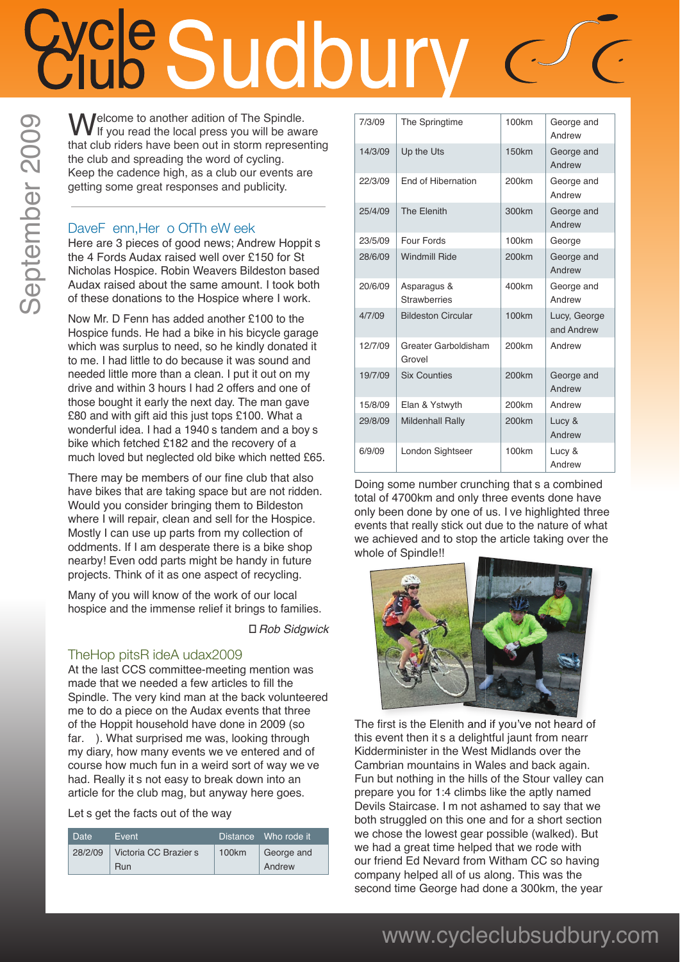# CLOOLOOLY

**Welcome to another adition of The Spindle.**<br>
If you read the local press you will be aware<br>
that alub riders have been out in starm representing that club riders have been out in storm representing the club and spreading the word of cycling. Keep the cadence high, as a club our events are getting some great responses and publicity.

#### DaveF enn. Her o Of Th e W eek

Here are 3 pieces of good news; Andrew Hoppit s the 4 Fords Audax raised well over £150 for St Nicholas Hospice. Robin Weavers Bildeston based Audax raised about the same amount. I took both of these donations to the Hospice where I work.

Now Mr. D Fenn has added another £100 to the Hospice funds. He had a bike in his bicycle garage which was surplus to need, so he kindly donated it to me. I had little to do because it was sound and needed little more than a clean. I put it out on my drive and within 3 hours I had 2 offers and one of those bought it early the next day. The man gave £80 and with gift aid this just tops £100. What a wonderful idea. I had a 1940 s tandem and a boy s bike which fetched £182 and the recovery of a much loved but neglected old bike which netted £65.

There may be members of our fine club that also have bikes that are taking space but are not ridden. Would you consider bringing them to Bildeston where I will repair, clean and sell for the Hospice. Mostly I can use up parts from my collection of oddments. If I am desperate there is a bike shop nearby! Even odd parts might be handy in future projects. Think of it as one aspect of recycling.

Many of you will know of the work of our local hospice and the immense relief it brings to families.

*Ð Rob Sidgwick*

#### The Hop pits R ide A udax 2009

At the last CCS committee-meeting mention was made that we needed a few articles to fill the Spindle. The very kind man at the back volunteered me to do a piece on the Audax events that three of the Hoppit household have done in 2009 (so far. ). What surprised me was, looking through my diary, how many events we ve entered and of course how much fun in a weird sort of way we ve had. Really it s not easy to break down into an article for the club mag, but anyway here goes.

Let s get the facts out of the way

| <b>Date</b> | <b>Fvent</b>          |       | Distance Who rode it |
|-------------|-----------------------|-------|----------------------|
| 28/2/09     | Victoria CC Brazier s | 100km | George and           |
|             | Run                   |       | Andrew               |

| 7/3/09  | The Springtime                     | 100km             | George and<br>Andrew       |
|---------|------------------------------------|-------------------|----------------------------|
| 14/3/09 | Up the Uts                         | <b>150km</b>      | George and<br>Andrew       |
| 22/3/09 | End of Hibernation                 | 200 <sub>km</sub> | George and<br>Andrew       |
| 25/4/09 | The Elenith                        | 300km             | George and<br>Andrew       |
| 23/5/09 | Four Fords                         | 100km             | George                     |
| 28/6/09 | <b>Windmill Ride</b>               | <b>200km</b>      | George and<br>Andrew       |
| 20/6/09 | Asparagus &<br><b>Strawberries</b> | 400km             | George and<br>Andrew       |
| 4/7/09  | <b>Bildeston Circular</b>          | 100 <sub>km</sub> | Lucy, George<br>and Andrew |
| 12/7/09 | Greater Garboldisham<br>Grovel     | 200 <sub>km</sub> | Andrew                     |
| 19/7/09 | <b>Six Counties</b>                | <b>200km</b>      | George and<br>Andrew       |
| 15/8/09 | Elan & Ystwyth                     | 200 <sub>km</sub> | Andrew                     |
| 29/8/09 | <b>Mildenhall Rally</b>            | <b>200km</b>      | Lucy &<br>Andrew           |
| 6/9/09  | London Sightseer                   | 100km             | Lucy &<br>Andrew           |

Doing some number crunching that s a combined total of 4700km and only three events done have only been done by one of us. I ve highlighted three events that really stick out due to the nature of what we achieved and to stop the article taking over the whole of Spindle!!



The first is the Elenith and if you've not heard of this event then it s a delightful jaunt from nearr Kidderminister in the West Midlands over the Cambrian mountains in Wales and back again. Fun but nothing in the hills of the Stour valley can prepare you for 1:4 climbs like the aptly named Devils Staircase. I m not ashamed to say that we both struggled on this one and for a short section we chose the lowest gear possible (walked). But we had a great time helped that we rode with our friend Ed Nevard from Witham CC so having company helped all of us along. This was the second time George had done a 300km, the year

# September 2009 September 2009

### www.cycleclubsudbury.com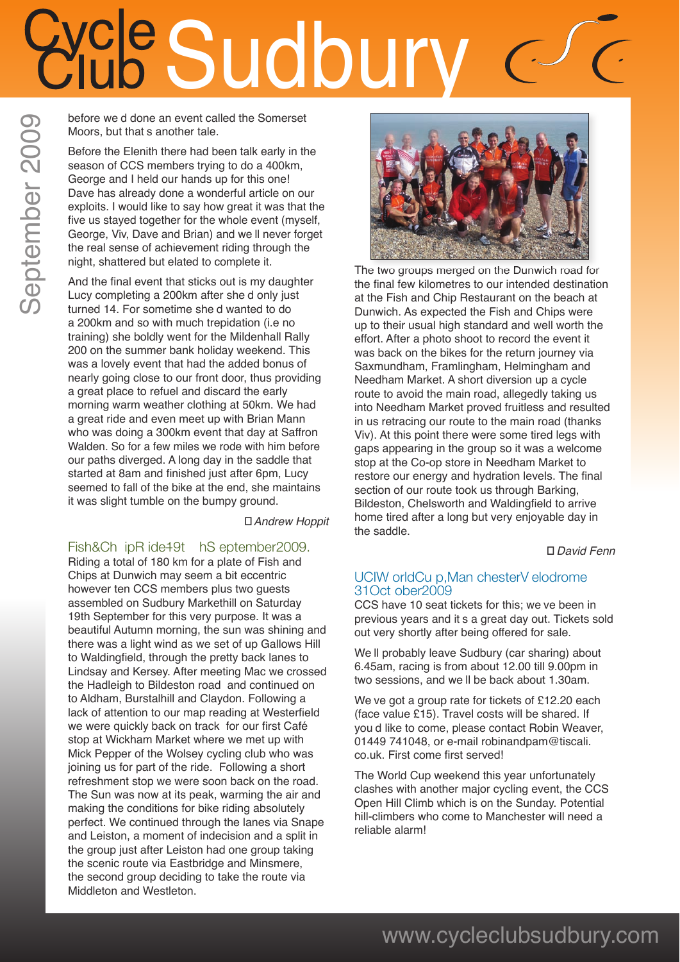## e Sudbury

before we d done an event called the Somerset Moors, but that s another tale.

Before the Elenith there had been talk early in the season of CCS members trying to do a 400km, George and I held our hands up for this one! Dave has already done a wonderful article on our exploits. I would like to say how great it was that the five us stayed together for the whole event (myself, George, Viv. Dave and Brian) and we II never forget the real sense of achievement riding through the night, shattered but elated to complete it.

And the final event that sticks out is my daughter Lucy completing a 200km after she d only just turned 14. For sometime she d wanted to do a 200km and so with much trepidation (i.e no training) she boldly went for the Mildenhall Rally 200 on the summer bank holiday weekend. This was a lovely event that had the added bonus of nearly going close to our front door, thus providing a great place to refuel and discard the early morning warm weather clothing at 50km. We had a great ride and even meet up with Brian Mann who was doing a 300km event that day at Saffron Walden. So for a few miles we rode with him before our paths diverged. A long day in the saddle that started at 8am and finished just after 6pm, Lucy seemed to fall of the bike at the end, she maintains it was slight tumble on the bumpy ground.

*Ð Andrew Hoppit* 

#### Fish & Ch ip R ide 49t h S eptember 2009.

Riding a total of 180 km for a plate of Fish and Chips at Dunwich may seem a bit eccentric however ten CCS members plus two guests assembled on Sudbury Markethill on Saturday 19th September for this very purpose. It was a beautiful Autumn morning, the sun was shining and there was a light wind as we set of up Gallows Hill to Waldingfield, through the pretty back lanes to Lindsay and Kersey. After meeting Mac we crossed the Hadleigh to Bildeston road and continued on to Aldham, Burstalhill and Claydon. Following a lack of attention to our map reading at Westerfield we were quickly back on track for our first Café stop at Wickham Market where we met up with Mick Pepper of the Wolsey cycling club who was joining us for part of the ride. Following a short refreshment stop we were soon back on the road. The Sun was now at its peak, warming the air and making the conditions for bike riding absolutely perfect. We continued through the lanes via Snape and Leiston, a moment of indecision and a split in the group just after Leiston had one group taking the scenic route via Eastbridge and Minsmere, the second group deciding to take the route via Middleton and Westleton.



The two groups merged on the Dunwich road for the final few kilometres to our intended destination at the Fish and Chip Restaurant on the beach at Dunwich. As expected the Fish and Chips were up to their usual high standard and well worth the effort. After a photo shoot to record the event it was back on the bikes for the return journey via Saxmundham, Framlingham, Helmingham and Needham Market. A short diversion up a cycle route to avoid the main road, allegedly taking us into Needham Market proved fruitless and resulted in us retracing our route to the main road (thanks Viv). At this point there were some tired legs with gaps appearing in the group so it was a welcome stop at the Co-op store in Needham Market to restore our energy and hydration levels. The final section of our route took us through Barking, Bildeston, Chelsworth and Waldingfield to arrive home tired after a long but very enjoyable day in the saddle.

*Ð David Fenn* 

#### UCIW orld Cu p, Man chester V elodrome 31 Oct ober 2009

CCS have 10 seat tickets for this; we ve been in previous years and it s a great day out. Tickets sold out very shortly after being offered for sale.

We II probably leave Sudbury (car sharing) about 6.45am, racing is from about 12.00 till 9.00pm in two sessions, and we II be back about 1.30am.

We ve got a group rate for tickets of £12.20 each (face value £15). Travel costs will be shared. If you d like to come, please contact Robin Weaver, 01449 741048, or e-mail robinandpam@tiscali. co.uk. First come first served!

The World Cup weekend this year unfortunately clashes with another major cycling event, the CCS Open Hill Climb which is on the Sunday. Potential hill-climbers who come to Manchester will need a reliable alarm!

### www.cycleclubsudbury.com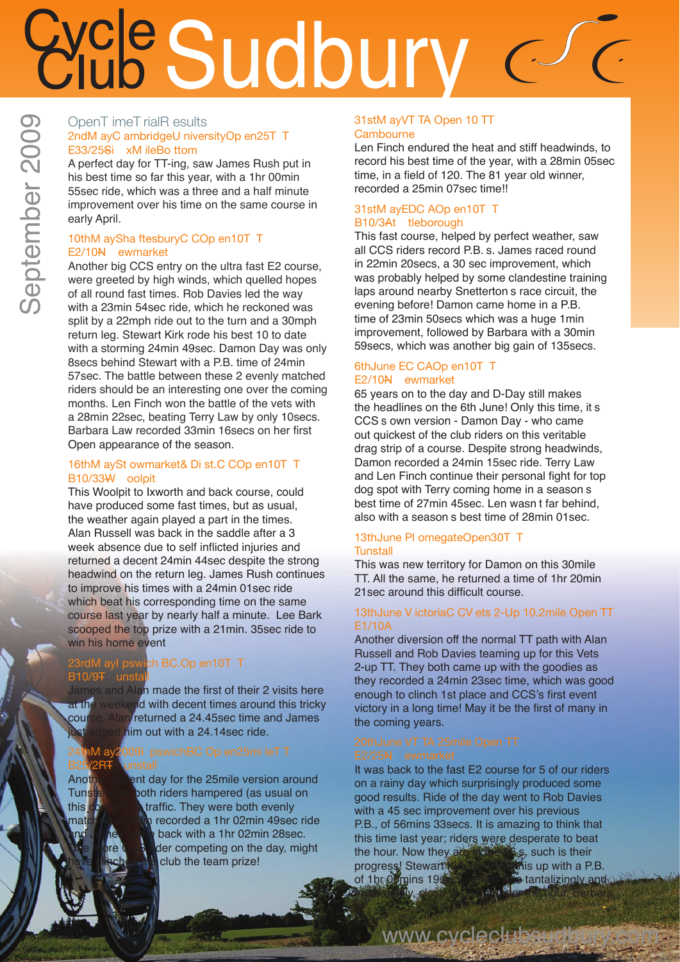### **Price Sudbury**  $\bigcup$

#### OpenT imeT rialR esults 2ndM ayC ambridgeU niversityOp en 25T T E33/25Si xM ile Bo ttom

A perfect day for TT-ing, saw James Rush put in his best time so far this year, with a 1hr 00min 55sec ride, which was a three and a half minute improvement over his time on the same course in early April.

#### 10th M ay Sha ftesbury C COp en 10T T E2/10N ewmarket

Another big CCS entry on the ultra fast E2 course, were greeted by high winds, which quelled hopes of all round fast times. Rob Davies led the way with a 23min 54sec ride, which he reckoned was split by a 22mph ride out to the turn and a 30mph return leg. Stewart Kirk rode his best 10 to date with a storming 24min 49sec. Damon Day was only 8secs behind Stewart with a P.B. time of 24min 57sec. The battle between these 2 evenly matched riders should be an interesting one over the coming months. Len Finch won the battle of the vets with a 28min 22sec, beating Terry Law by only 10secs. Barbara Law recorded 33min 16secs on her first Open appearance of the season.

#### 16thM aySt owmarket& Di st.C COp en10T T B10/33W oolpit

This Woolpit to Ixworth and back course, could have produced some fast times, but as usual, the weather again played a part in the times. Alan Russell was back in the saddle after a 3 week absence due to self inflicted injuries and returned a decent 24min 44sec despite the strong headwind on the return leg. James Rush continues to improve his times with a 24min 01sec ride which beat his corresponding time on the same course last year by nearly half a minute. Lee Bark scooped the top prize with a 21min. 35sec ride to win his home event

#### 23rdM ayl pswich BC.Op en10T T B10/9<sub>T</sub> unstall

James and Alan made the first of their 2 visits here at the weekend with decent times around this tricky course. Alan returned a 24.45sec time and James ust edged him out with a 24.14sec ride.

1M ay 2009 I pswich BC Op en 25mi le T T

Another decent day for the 25mile version around<br>Tunstal serviboth riders hampered (as usual on Tunstall saw both riders hampered (as usual on<br>this comes watraffic. They were both evenly traffic. They were both evenly matched as Alan recorded a 1hr 02min 49sec ride back with a 1hr 02min 28sec. der competing on the day, might club the team prize!

#### 31stM ayVT TA Open 10 TT **Cambourne**

Len Finch endured the heat and stiff headwinds, to record his best time of the year, with a 28min 05sec time, in a field of 120. The 81 year old winner, recorded a 25min 07sec time!!

#### 31stM ayEDC AOp en10T T B10/3At tleborough

This fast course, helped by perfect weather, saw all CCS riders record P.B. s. James raced round in 22min 20secs, a 30 sec improvement, which was probably helped by some clandestine training laps around nearby Snetterton s race circuit, the evening before! Damon came home in a P.B. time of 23min 50secs which was a huge 1min improvement, followed by Barbara with a 30min 59secs, which was another big gain of 135secs.

#### 6th June EC CAOp en 10T T E2/10N ewmarket

65 years on to the day and D-Day still makes the headlines on the 6th June! Only this time, it s CCS s own version - Damon Day - who came out quickest of the club riders on this veritable drag strip of a course. Despite strong headwinds, Damon recorded a 24min 15sec ride. Terry Law and Len Finch continue their personal fight for top dog spot with Terry coming home in a season s best time of 27min 45sec. Len wasn t far behind, also with a season s best time of 28min 01sec.

#### 13th June PI omegate Open 30T T **Tunstall**

This was new territory for Damon on this 30mile TT. All the same, he returned a time of 1hr 20min 21 sec around this difficult course.

#### 13th June V ictoria C CV ets 2-Up 10.2mile Open TT E1/10A

Another diversion off the normal TT path with Alan Russell and Rob Davies teaming up for this Vets 2-up TT. They both came up with the goodies as they recorded a 24min 23sec time, which was good enough to clinch 1st place and CCS's first event victory in a long time! May it be the first of many in the coming years.

It was back to the fast E2 course for 5 of our riders on a rainy day which surprisingly produced some good results. Ride of the day went to Rob Davies with a 45 sec improvement over his previous P.B., of 56mins 33secs. It is amazing to think that this time last year; riders were desperate to beat the hour. Now they are  $\mathbb{R}^n$ , such is their progress! Stewart Kirk followed this up with a P.B.<br>of 1br 0 /mins 1988 of 1hr 00<sub>mins</sub> 19s

frustratingly, close to going under the hour. Barbara

www.cyclectubeut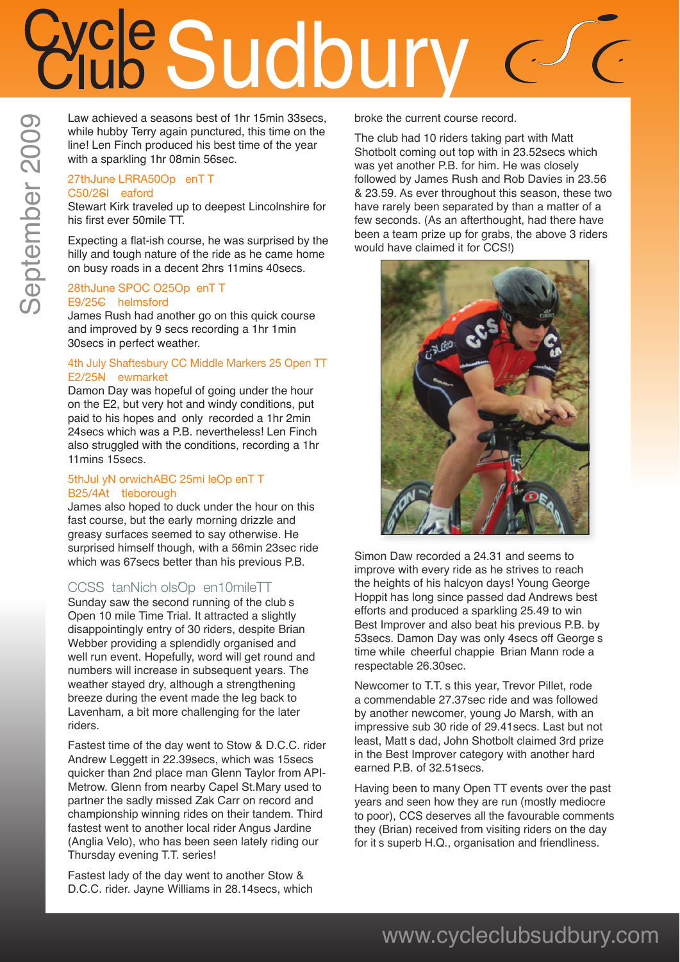## Sudbury

Law achieved a seasons best of 1hr 15min 33secs, while hubby Terry again punctured, this time on the line! Len Finch produced his best time of the year with a sparkling 1hr 08min 56sec.

#### 27th June LRRA 500p en TT C50/2Sl eaford

Stewart Kirk traveled up to deepest Lincolnshire for his first ever 50mile TT.

Expecting a flat-ish course, he was surprised by the hilly and tough nature of the ride as he came home on busy roads in a decent 2hrs 11mins 40secs.

#### 28thJune SPOC O25Op enTT E9/25C helmsford

James Rush had another go on this quick course and improved by 9 secs recording a 1hr 1min 30secs in perfect weather.

#### 4th July Shaftesbury CC Middle Markers 25 Open TT E2/25N ewmarket

Damon Day was hopeful of going under the hour on the E2, but very hot and windy conditions, put paid to his hopes and only recorded a 1hr 2min 24secs which was a P.B. nevertheless! Len Finch also struggled with the conditions, recording a 1hr 11mins 15secs.

#### 5th Jul y N orwich ABC 25mi le Op en TT B25/4At tleborough

James also hoped to duck under the hour on this fast course, but the early morning drizzle and greasy surfaces seemed to say otherwise. He surprised himself though, with a 56min 23sec ride which was 67secs better than his previous P.B.

#### CCSS tan Nich ols Op en 10 mile TT

Sunday saw the second running of the club s Open 10 mile Time Trial. It attracted a slightly disappointingly entry of 30 riders, despite Brian Webber providing a splendidly organised and well run event. Hopefully, word will get round and numbers will increase in subsequent years. The weather stayed dry, although a strengthening breeze during the event made the leg back to Lavenham, a bit more challenging for the later riders.

Fastest time of the day went to Stow & D.C.C. rider Andrew Leggett in 22.39secs, which was 15secs quicker than 2nd place man Glenn Taylor from API-Metrow. Glenn from nearby Capel St.Mary used to partner the sadly missed Zak Carr on record and championship winning rides on their tandem. Third fastest went to another local rider Angus Jardine (Anglia Velo), who has been seen lately riding our Thursday evening T.T. series!

Fastest lady of the day went to another Stow & D.C.C. rider. Jayne Williams in 28.14secs, which broke the current course record.

The club had 10 riders taking part with Matt Shotbolt coming out top with in 23.52secs which was yet another P.B. for him. He was closely followed by James Rush and Rob Davies in 23.56 & 23.59. As ever throughout this season, these two have rarely been separated by than a matter of a few seconds. (As an afterthought, had there have been a team prize up for grabs, the above 3 riders would have claimed it for CCS!)



Simon Daw recorded a 24.31 and seems to improve with every ride as he strives to reach the heights of his halcyon days! Young George Hoppit has long since passed dad Andrews best efforts and produced a sparkling 25.49 to win Best Improver and also beat his previous P.B. by 53 secs. Damon Day was only 4 secs off George s time while cheerful chappie Brian Mann rode a respectable 26.30sec.

Newcomer to T.T. s this year, Trevor Pillet, rode a commendable 27.37sec ride and was followed by another newcomer, young Jo Marsh, with an impressive sub 30 ride of 29.41secs. Last but not least, Matt s dad, John Shotbolt claimed 3rd prize in the Best Improver category with another hard earned P.B. of 32.51secs.

Having been to many Open TT events over the past years and seen how they are run (mostly mediocre to poor), CCS deserves all the favourable comments they (Brian) received from visiting riders on the day for it s superb H.Q., organisation and friendliness.

### www.cycleclubsudbury.com